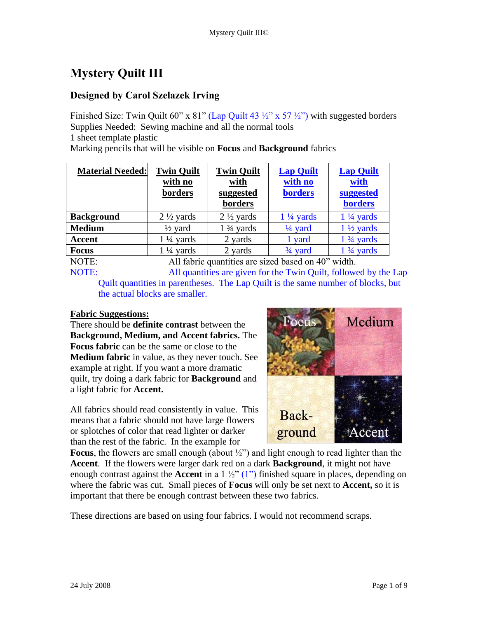## **Mystery Quilt III**

## **Designed by Carol Szelazek Irving**

Finished Size: Twin Quilt 60" x  $81$ " (Lap Quilt 43  $\frac{1}{2}$ " x 57  $\frac{1}{2}$ ") with suggested borders Supplies Needed: Sewing machine and all the normal tools 1 sheet template plastic

Marking pencils that will be visible on **Focus** and **Background** fabrics

| <b>Material Needed:</b> | <b>Twin Quilt</b><br>with no<br>borders | <b>Twin Quilt</b><br>with<br>suggested<br>borders | <b>Lap Quilt</b><br>with no<br><b>borders</b>                     | <b>Lap Quilt</b><br>with<br>suggested<br><b>borders</b> |
|-------------------------|-----------------------------------------|---------------------------------------------------|-------------------------------------------------------------------|---------------------------------------------------------|
| <b>Background</b>       | $2\frac{1}{2}$ yards                    | $2\frac{1}{2}$ yards                              | $1\frac{1}{4}$ yards                                              | $1\frac{1}{4}$ yards                                    |
| <b>Medium</b>           | $\frac{1}{2}$ yard                      | $1\frac{3}{4}$ yards                              | $\frac{1}{4}$ yard                                                | $1\frac{1}{2}$ yards                                    |
| <b>Accent</b>           | $1\frac{1}{4}$ yards                    | 2 yards                                           | 1 yard                                                            | $1\frac{3}{4}$ yards                                    |
| <b>Focus</b>            | $1\frac{1}{4}$ yards                    | 2 yards                                           | $\frac{3}{4}$ yard                                                | $1\frac{3}{4}$ yards                                    |
| $\sqrt{2}$              | $\sqrt{11}$ $\sqrt{1}$                  | $\cdots$                                          | $\mathbf{1}$ $\mathbf{1}$ $\mathbf{1}$ $\mathbf{1}$<br>$\sqrt{2}$ | 1.1                                                     |

NOTE: All fabric quantities are sized based on 40" width. NOTE: All quantities are given for the Twin Quilt, followed by the Lap Quilt quantities in parentheses. The Lap Quilt is the same number of blocks, but the actual blocks are smaller.

## **Fabric Suggestions:**

There should be **definite contrast** between the **Background, Medium, and Accent fabrics.** The **Focus fabric** can be the same or close to the **Medium fabric** in value, as they never touch. See example at right. If you want a more dramatic quilt, try doing a dark fabric for **Background** and a light fabric for **Accent.**

All fabrics should read consistently in value. This means that a fabric should not have large flowers or splotches of color that read lighter or darker than the rest of the fabric. In the example for



**Focus**, the flowers are small enough (about ½") and light enough to read lighter than the **Accent**. If the flowers were larger dark red on a dark **Background**, it might not have enough contrast against the **Accent** in a 1 ½" (1") finished square in places, depending on where the fabric was cut. Small pieces of **Focus** will only be set next to **Accent,** so it is important that there be enough contrast between these two fabrics.

These directions are based on using four fabrics. I would not recommend scraps.